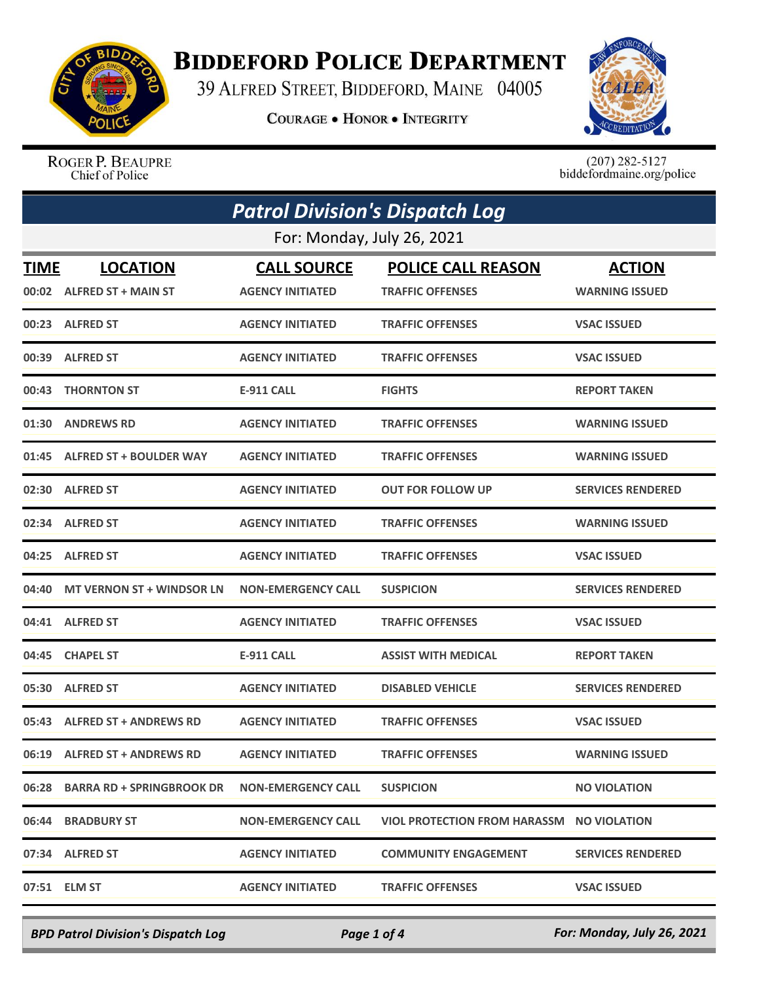

## **BIDDEFORD POLICE DEPARTMENT**

39 ALFRED STREET, BIDDEFORD, MAINE 04005

**COURAGE . HONOR . INTEGRITY** 



ROGER P. BEAUPRE Chief of Police

 $(207)$  282-5127<br>biddefordmaine.org/police

| <b>Patrol Division's Dispatch Log</b> |                                              |                                               |                                                      |                                        |  |  |
|---------------------------------------|----------------------------------------------|-----------------------------------------------|------------------------------------------------------|----------------------------------------|--|--|
|                                       | For: Monday, July 26, 2021                   |                                               |                                                      |                                        |  |  |
| <b>TIME</b>                           | <b>LOCATION</b><br>00:02 ALFRED ST + MAIN ST | <b>CALL SOURCE</b><br><b>AGENCY INITIATED</b> | <b>POLICE CALL REASON</b><br><b>TRAFFIC OFFENSES</b> | <b>ACTION</b><br><b>WARNING ISSUED</b> |  |  |
|                                       | 00:23 ALFRED ST                              | <b>AGENCY INITIATED</b>                       | <b>TRAFFIC OFFENSES</b>                              | <b>VSAC ISSUED</b>                     |  |  |
| 00:39                                 | <b>ALFRED ST</b>                             | <b>AGENCY INITIATED</b>                       | <b>TRAFFIC OFFENSES</b>                              | <b>VSAC ISSUED</b>                     |  |  |
| 00:43                                 | <b>THORNTON ST</b>                           | <b>E-911 CALL</b>                             | <b>FIGHTS</b>                                        | <b>REPORT TAKEN</b>                    |  |  |
| 01:30                                 | <b>ANDREWS RD</b>                            | <b>AGENCY INITIATED</b>                       | <b>TRAFFIC OFFENSES</b>                              | <b>WARNING ISSUED</b>                  |  |  |
| 01:45                                 | <b>ALFRED ST + BOULDER WAY</b>               | <b>AGENCY INITIATED</b>                       | <b>TRAFFIC OFFENSES</b>                              | <b>WARNING ISSUED</b>                  |  |  |
| 02:30                                 | <b>ALFRED ST</b>                             | <b>AGENCY INITIATED</b>                       | <b>OUT FOR FOLLOW UP</b>                             | <b>SERVICES RENDERED</b>               |  |  |
| 02:34                                 | <b>ALFRED ST</b>                             | <b>AGENCY INITIATED</b>                       | <b>TRAFFIC OFFENSES</b>                              | <b>WARNING ISSUED</b>                  |  |  |
| 04:25                                 | <b>ALFRED ST</b>                             | <b>AGENCY INITIATED</b>                       | <b>TRAFFIC OFFENSES</b>                              | <b>VSAC ISSUED</b>                     |  |  |
| 04:40                                 | <b>MT VERNON ST + WINDSOR LN</b>             | <b>NON-EMERGENCY CALL</b>                     | <b>SUSPICION</b>                                     | <b>SERVICES RENDERED</b>               |  |  |
|                                       | 04:41 ALFRED ST                              | <b>AGENCY INITIATED</b>                       | <b>TRAFFIC OFFENSES</b>                              | <b>VSAC ISSUED</b>                     |  |  |
| 04:45                                 | <b>CHAPEL ST</b>                             | <b>E-911 CALL</b>                             | <b>ASSIST WITH MEDICAL</b>                           | <b>REPORT TAKEN</b>                    |  |  |
| 05:30                                 | <b>ALFRED ST</b>                             | <b>AGENCY INITIATED</b>                       | <b>DISABLED VEHICLE</b>                              | <b>SERVICES RENDERED</b>               |  |  |
|                                       | 05:43 ALFRED ST + ANDREWS RD                 | <b>AGENCY INITIATED</b>                       | <b>TRAFFIC OFFENSES</b>                              | <b>VSAC ISSUED</b>                     |  |  |
|                                       | 06:19 ALFRED ST + ANDREWS RD                 | <b>AGENCY INITIATED</b>                       | <b>TRAFFIC OFFENSES</b>                              | <b>WARNING ISSUED</b>                  |  |  |
|                                       | 06:28 BARRA RD + SPRINGBROOK DR              | <b>NON-EMERGENCY CALL</b>                     | <b>SUSPICION</b>                                     | <b>NO VIOLATION</b>                    |  |  |
|                                       | 06:44 BRADBURY ST                            | <b>NON-EMERGENCY CALL</b>                     | VIOL PROTECTION FROM HARASSM NO VIOLATION            |                                        |  |  |
|                                       | 07:34 ALFRED ST                              | <b>AGENCY INITIATED</b>                       | <b>COMMUNITY ENGAGEMENT</b>                          | <b>SERVICES RENDERED</b>               |  |  |
|                                       | 07:51 ELM ST                                 | <b>AGENCY INITIATED</b>                       | <b>TRAFFIC OFFENSES</b>                              | <b>VSAC ISSUED</b>                     |  |  |

*BPD Patrol Division's Dispatch Log Page 1 of 4 For: Monday, July 26, 2021*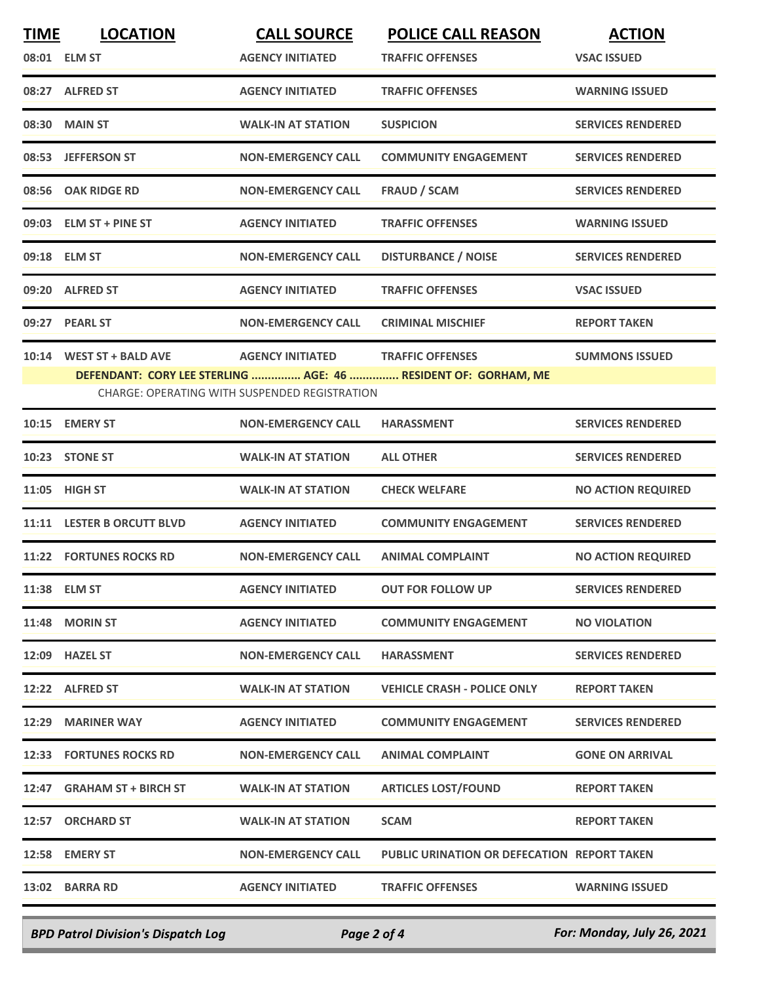| <b>TIME</b> | <b>LOCATION</b>                                                                                                 | <b>CALL SOURCE</b>        | <b>POLICE CALL REASON</b>                   | <b>ACTION</b>             |  |
|-------------|-----------------------------------------------------------------------------------------------------------------|---------------------------|---------------------------------------------|---------------------------|--|
|             | 08:01 ELM ST                                                                                                    | <b>AGENCY INITIATED</b>   | <b>TRAFFIC OFFENSES</b>                     | <b>VSAC ISSUED</b>        |  |
|             | 08:27 ALFRED ST                                                                                                 | <b>AGENCY INITIATED</b>   | <b>TRAFFIC OFFENSES</b>                     | <b>WARNING ISSUED</b>     |  |
|             | 08:30 MAIN ST                                                                                                   | <b>WALK-IN AT STATION</b> | <b>SUSPICION</b>                            | <b>SERVICES RENDERED</b>  |  |
|             | 08:53 JEFFERSON ST                                                                                              | <b>NON-EMERGENCY CALL</b> | <b>COMMUNITY ENGAGEMENT</b>                 | <b>SERVICES RENDERED</b>  |  |
| 08:56       | <b>OAK RIDGE RD</b>                                                                                             | <b>NON-EMERGENCY CALL</b> | <b>FRAUD / SCAM</b>                         | <b>SERVICES RENDERED</b>  |  |
|             | 09:03 ELM ST + PINE ST                                                                                          | <b>AGENCY INITIATED</b>   | <b>TRAFFIC OFFENSES</b>                     | <b>WARNING ISSUED</b>     |  |
|             | 09:18 ELM ST                                                                                                    | <b>NON-EMERGENCY CALL</b> | <b>DISTURBANCE / NOISE</b>                  | <b>SERVICES RENDERED</b>  |  |
|             | 09:20 ALFRED ST                                                                                                 | <b>AGENCY INITIATED</b>   | <b>TRAFFIC OFFENSES</b>                     | <b>VSAC ISSUED</b>        |  |
| 09:27       | <b>PEARL ST</b>                                                                                                 | <b>NON-EMERGENCY CALL</b> | <b>CRIMINAL MISCHIEF</b>                    | <b>REPORT TAKEN</b>       |  |
|             | 10:14 WEST ST + BALD AVE                                                                                        | <b>AGENCY INITIATED</b>   | <b>TRAFFIC OFFENSES</b>                     | <b>SUMMONS ISSUED</b>     |  |
|             | DEFENDANT: CORY LEE STERLING  AGE: 46  RESIDENT OF: GORHAM, ME<br>CHARGE: OPERATING WITH SUSPENDED REGISTRATION |                           |                                             |                           |  |
|             | 10:15 EMERY ST                                                                                                  | <b>NON-EMERGENCY CALL</b> | <b>HARASSMENT</b>                           | <b>SERVICES RENDERED</b>  |  |
|             | 10:23 STONE ST                                                                                                  | <b>WALK-IN AT STATION</b> | <b>ALL OTHER</b>                            | <b>SERVICES RENDERED</b>  |  |
|             | 11:05 HIGH ST                                                                                                   | <b>WALK-IN AT STATION</b> | <b>CHECK WELFARE</b>                        | <b>NO ACTION REQUIRED</b> |  |
|             | 11:11 LESTER B ORCUTT BLVD                                                                                      | <b>AGENCY INITIATED</b>   | <b>COMMUNITY ENGAGEMENT</b>                 | <b>SERVICES RENDERED</b>  |  |
|             | <b>11:22 FORTUNES ROCKS RD</b>                                                                                  | <b>NON-EMERGENCY CALL</b> | <b>ANIMAL COMPLAINT</b>                     | <b>NO ACTION REQUIRED</b> |  |
|             | 11:38 ELM ST                                                                                                    | <b>AGENCY INITIATED</b>   | <b>OUT FOR FOLLOW UP</b>                    | <b>SERVICES RENDERED</b>  |  |
|             | 11:48 MORIN ST                                                                                                  | <b>AGENCY INITIATED</b>   | <b>COMMUNITY ENGAGEMENT</b>                 | <b>NO VIOLATION</b>       |  |
|             | 12:09 HAZEL ST                                                                                                  | <b>NON-EMERGENCY CALL</b> | <b>HARASSMENT</b>                           | <b>SERVICES RENDERED</b>  |  |
|             | 12:22 ALFRED ST                                                                                                 | <b>WALK-IN AT STATION</b> | <b>VEHICLE CRASH - POLICE ONLY</b>          | <b>REPORT TAKEN</b>       |  |
|             | 12:29 MARINER WAY                                                                                               | <b>AGENCY INITIATED</b>   | <b>COMMUNITY ENGAGEMENT</b>                 | <b>SERVICES RENDERED</b>  |  |
|             | <b>12:33 FORTUNES ROCKS RD</b>                                                                                  | <b>NON-EMERGENCY CALL</b> | <b>ANIMAL COMPLAINT</b>                     | <b>GONE ON ARRIVAL</b>    |  |
|             | 12:47 GRAHAM ST + BIRCH ST                                                                                      | <b>WALK-IN AT STATION</b> | <b>ARTICLES LOST/FOUND</b>                  | <b>REPORT TAKEN</b>       |  |
|             | 12:57 ORCHARD ST                                                                                                | <b>WALK-IN AT STATION</b> | SCAM                                        | <b>REPORT TAKEN</b>       |  |
|             | 12:58 EMERY ST                                                                                                  | <b>NON-EMERGENCY CALL</b> | PUBLIC URINATION OR DEFECATION REPORT TAKEN |                           |  |
|             | 13:02 BARRA RD                                                                                                  | <b>AGENCY INITIATED</b>   | <b>TRAFFIC OFFENSES</b>                     | <b>WARNING ISSUED</b>     |  |
|             |                                                                                                                 |                           |                                             |                           |  |

*BPD Patrol Division's Dispatch Log Page 2 of 4 For: Monday, July 26, 2021*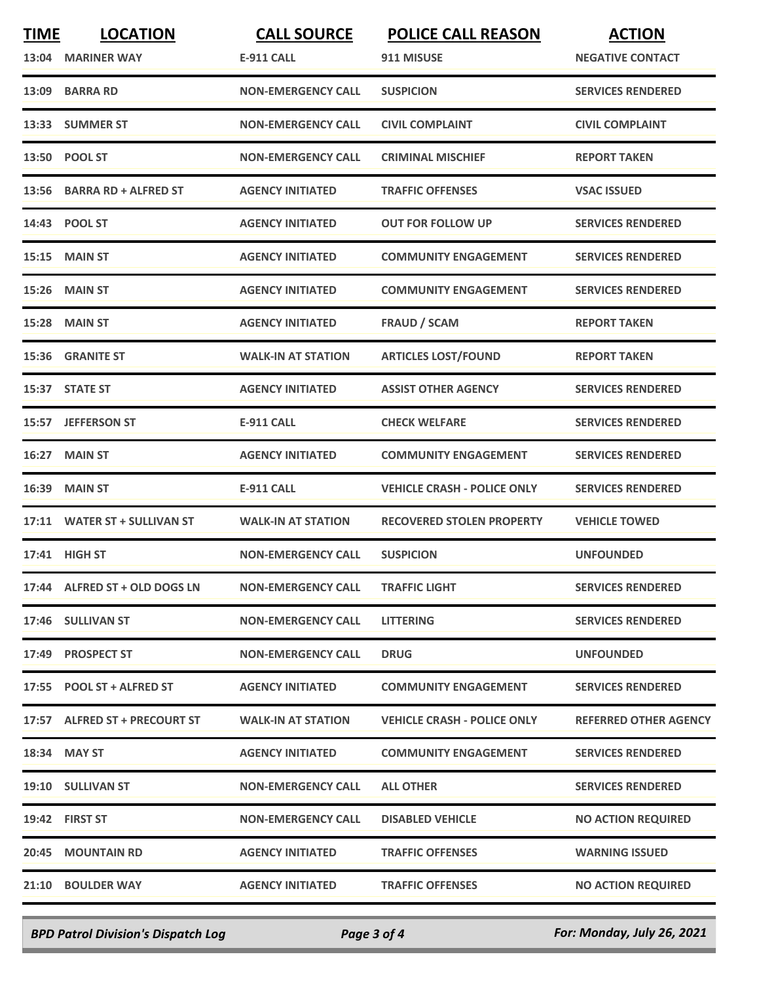| <b>TIME</b> | <b>LOCATION</b>               | <b>CALL SOURCE</b>        | <b>POLICE CALL REASON</b>          | <b>ACTION</b>                |
|-------------|-------------------------------|---------------------------|------------------------------------|------------------------------|
| 13:04       | <b>MARINER WAY</b>            | <b>E-911 CALL</b>         | 911 MISUSE                         | <b>NEGATIVE CONTACT</b>      |
|             | 13:09 BARRA RD                | <b>NON-EMERGENCY CALL</b> | <b>SUSPICION</b>                   | <b>SERVICES RENDERED</b>     |
|             | 13:33 SUMMER ST               | <b>NON-EMERGENCY CALL</b> | <b>CIVIL COMPLAINT</b>             | <b>CIVIL COMPLAINT</b>       |
|             | 13:50 POOL ST                 | <b>NON-EMERGENCY CALL</b> | <b>CRIMINAL MISCHIEF</b>           | <b>REPORT TAKEN</b>          |
| 13:56       | <b>BARRA RD + ALFRED ST</b>   | <b>AGENCY INITIATED</b>   | <b>TRAFFIC OFFENSES</b>            | <b>VSAC ISSUED</b>           |
|             | 14:43 POOL ST                 | <b>AGENCY INITIATED</b>   | <b>OUT FOR FOLLOW UP</b>           | <b>SERVICES RENDERED</b>     |
| 15:15       | <b>MAIN ST</b>                | <b>AGENCY INITIATED</b>   | <b>COMMUNITY ENGAGEMENT</b>        | <b>SERVICES RENDERED</b>     |
| 15:26       | <b>MAIN ST</b>                | <b>AGENCY INITIATED</b>   | <b>COMMUNITY ENGAGEMENT</b>        | <b>SERVICES RENDERED</b>     |
| 15:28       | <b>MAIN ST</b>                | <b>AGENCY INITIATED</b>   | <b>FRAUD / SCAM</b>                | <b>REPORT TAKEN</b>          |
|             | 15:36 GRANITE ST              | <b>WALK-IN AT STATION</b> | <b>ARTICLES LOST/FOUND</b>         | <b>REPORT TAKEN</b>          |
|             | 15:37 STATE ST                | <b>AGENCY INITIATED</b>   | <b>ASSIST OTHER AGENCY</b>         | <b>SERVICES RENDERED</b>     |
| 15:57       | <b>JEFFERSON ST</b>           | <b>E-911 CALL</b>         | <b>CHECK WELFARE</b>               | <b>SERVICES RENDERED</b>     |
| 16:27       | <b>MAIN ST</b>                | <b>AGENCY INITIATED</b>   | <b>COMMUNITY ENGAGEMENT</b>        | <b>SERVICES RENDERED</b>     |
| 16:39       | <b>MAIN ST</b>                | <b>E-911 CALL</b>         | <b>VEHICLE CRASH - POLICE ONLY</b> | <b>SERVICES RENDERED</b>     |
|             | 17:11 WATER ST + SULLIVAN ST  | <b>WALK-IN AT STATION</b> | <b>RECOVERED STOLEN PROPERTY</b>   | <b>VEHICLE TOWED</b>         |
|             | 17:41 HIGH ST                 | <b>NON-EMERGENCY CALL</b> | <b>SUSPICION</b>                   | <b>UNFOUNDED</b>             |
|             | 17:44 ALFRED ST + OLD DOGS LN | <b>NON-EMERGENCY CALL</b> | <b>TRAFFIC LIGHT</b>               | <b>SERVICES RENDERED</b>     |
|             | 17:46 SULLIVAN ST             | <b>NON-EMERGENCY CALL</b> | <b>LITTERING</b>                   | <b>SERVICES RENDERED</b>     |
|             | 17:49 PROSPECT ST             | <b>NON-EMERGENCY CALL</b> | <b>DRUG</b>                        | <b>UNFOUNDED</b>             |
|             | 17:55 POOL ST + ALFRED ST     | <b>AGENCY INITIATED</b>   | <b>COMMUNITY ENGAGEMENT</b>        | <b>SERVICES RENDERED</b>     |
|             | 17:57 ALFRED ST + PRECOURT ST | <b>WALK-IN AT STATION</b> | <b>VEHICLE CRASH - POLICE ONLY</b> | <b>REFERRED OTHER AGENCY</b> |
|             | 18:34 MAY ST                  | <b>AGENCY INITIATED</b>   | <b>COMMUNITY ENGAGEMENT</b>        | <b>SERVICES RENDERED</b>     |
|             | 19:10 SULLIVAN ST             | <b>NON-EMERGENCY CALL</b> | <b>ALL OTHER</b>                   | <b>SERVICES RENDERED</b>     |
|             | 19:42 FIRST ST                | <b>NON-EMERGENCY CALL</b> | <b>DISABLED VEHICLE</b>            | <b>NO ACTION REQUIRED</b>    |
|             | 20:45 MOUNTAIN RD             | <b>AGENCY INITIATED</b>   | <b>TRAFFIC OFFENSES</b>            | <b>WARNING ISSUED</b>        |
|             | 21:10 BOULDER WAY             | <b>AGENCY INITIATED</b>   | <b>TRAFFIC OFFENSES</b>            | <b>NO ACTION REQUIRED</b>    |
|             |                               |                           |                                    |                              |

*BPD Patrol Division's Dispatch Log Page 3 of 4 For: Monday, July 26, 2021*